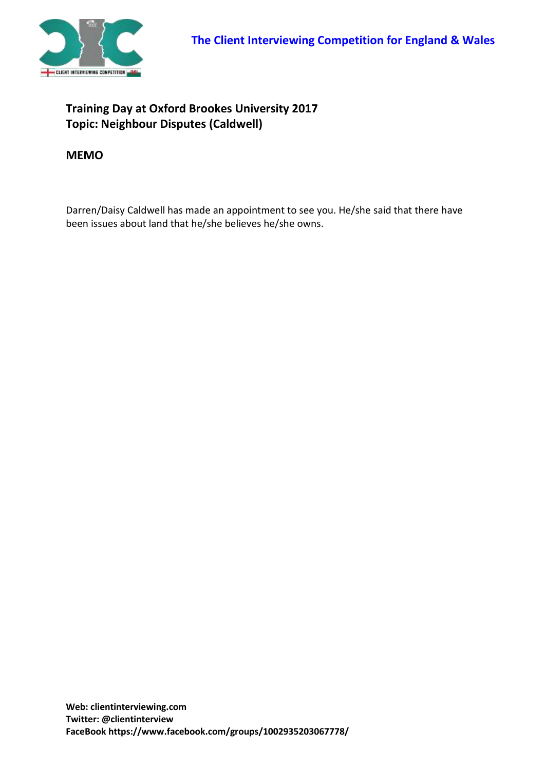

## **Training Day at Oxford Brookes University 2017 Topic: Neighbour Disputes (Caldwell)**

## **MEMO**

Darren/Daisy Caldwell has made an appointment to see you. He/she said that there have been issues about land that he/she believes he/she owns.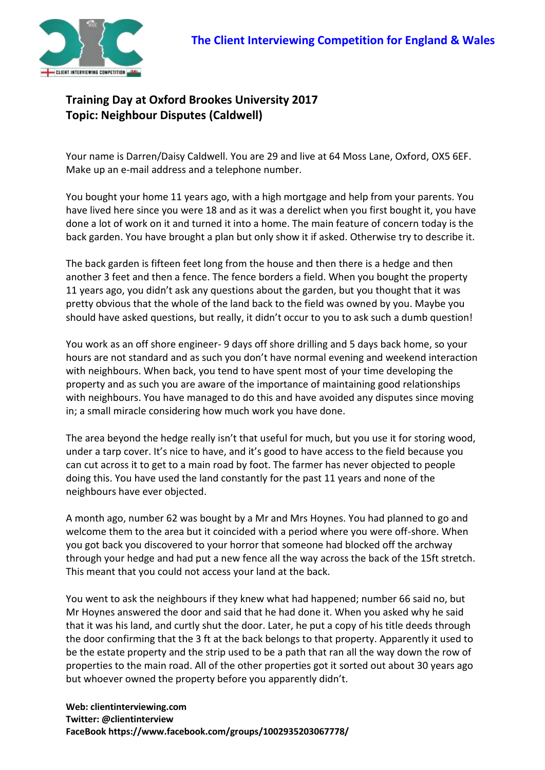

## **Training Day at Oxford Brookes University 2017 Topic: Neighbour Disputes (Caldwell)**

Your name is Darren/Daisy Caldwell. You are 29 and live at 64 Moss Lane, Oxford, OX5 6EF. Make up an e-mail address and a telephone number.

You bought your home 11 years ago, with a high mortgage and help from your parents. You have lived here since you were 18 and as it was a derelict when you first bought it, you have done a lot of work on it and turned it into a home. The main feature of concern today is the back garden. You have brought a plan but only show it if asked. Otherwise try to describe it.

The back garden is fifteen feet long from the house and then there is a hedge and then another 3 feet and then a fence. The fence borders a field. When you bought the property 11 years ago, you didn't ask any questions about the garden, but you thought that it was pretty obvious that the whole of the land back to the field was owned by you. Maybe you should have asked questions, but really, it didn't occur to you to ask such a dumb question!

You work as an off shore engineer- 9 days off shore drilling and 5 days back home, so your hours are not standard and as such you don't have normal evening and weekend interaction with neighbours. When back, you tend to have spent most of your time developing the property and as such you are aware of the importance of maintaining good relationships with neighbours. You have managed to do this and have avoided any disputes since moving in; a small miracle considering how much work you have done.

The area beyond the hedge really isn't that useful for much, but you use it for storing wood, under a tarp cover. It's nice to have, and it's good to have access to the field because you can cut across it to get to a main road by foot. The farmer has never objected to people doing this. You have used the land constantly for the past 11 years and none of the neighbours have ever objected.

A month ago, number 62 was bought by a Mr and Mrs Hoynes. You had planned to go and welcome them to the area but it coincided with a period where you were off-shore. When you got back you discovered to your horror that someone had blocked off the archway through your hedge and had put a new fence all the way across the back of the 15ft stretch. This meant that you could not access your land at the back.

You went to ask the neighbours if they knew what had happened; number 66 said no, but Mr Hoynes answered the door and said that he had done it. When you asked why he said that it was his land, and curtly shut the door. Later, he put a copy of his title deeds through the door confirming that the 3 ft at the back belongs to that property. Apparently it used to be the estate property and the strip used to be a path that ran all the way down the row of properties to the main road. All of the other properties got it sorted out about 30 years ago but whoever owned the property before you apparently didn't.